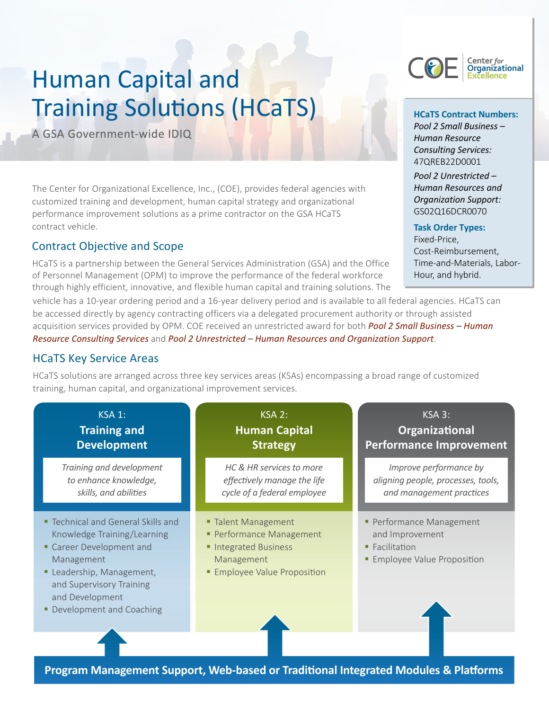# Human Capital and Training Solutions (HCaTS)

A GSA Government-wide IDIQ

The Center for Organizational Excellence, Inc., (COE), provides federal agencies with customized training and development, human capital strategy and organizational performance improvement solutions as a prime contractor on the GSA HCaTS contract vehicle.

### Contract Objective and Scope

HCaTS is a partnership between the General Services Administration (GSA) and the Office of Personnel Management (OPM) to improve the performance of the federal workforce through highly efficient, innovative, and flexible human capital and training solutions. The

vehicle has a 10-year ordering period and a 16-year delivery period and is available to all federal agencies. HCaTS can be accessed directly by agency contracting officers via a delegated procurement authority or through assisted acquisition services provided by OPM. COE received an unrestricted award for both *Pool 2 Small Business – Human Resource Consulting Services* and *Pool 2 Unrestricted – Human Resources and Organization Support*.

### HCaTS Key Service Areas

HCaTS solutions are arranged across three key services areas (KSAs) encompassing a broad range of customized training, human capital, and organizational improvement services.

| <b>KSA 1:</b>                                                                                                                                                                                                     | <b>KSA 2:</b>                                                                                                             | KSA 3:                                                                                                          |
|-------------------------------------------------------------------------------------------------------------------------------------------------------------------------------------------------------------------|---------------------------------------------------------------------------------------------------------------------------|-----------------------------------------------------------------------------------------------------------------|
| <b>Training and</b>                                                                                                                                                                                               | <b>Human Capital</b>                                                                                                      | Organizational                                                                                                  |
| <b>Development</b>                                                                                                                                                                                                | <b>Strategy</b>                                                                                                           | <b>Performance Improvement</b>                                                                                  |
| Training and development                                                                                                                                                                                          | HC & HR services to more                                                                                                  | Improve performance by                                                                                          |
| to enhance knowledge,                                                                                                                                                                                             | effectively manage the life                                                                                               | aligning people, processes, tools,                                                                              |
| skills, and abilities                                                                                                                                                                                             | cycle of a federal employee                                                                                               | and management practices                                                                                        |
| " Technical and General Skills and<br>Knowledge Training/Learning<br>Career Development and<br>Management<br>Leadership, Management,<br>and Supervisory Training<br>and Development<br>• Development and Coaching | ■ Talent Management<br>• Performance Management<br>Integrated Business<br>Management<br><b>Employee Value Proposition</b> | • Performance Management<br>and Improvement<br>$\blacksquare$ Facilitation<br><b>Employee Value Proposition</b> |



**HCaTS Contract Numbers:** *Pool 2 Small Business – Human Resource Consulting Services:* 47QREB22D0001

*Pool 2 Unrestricted – Human Resources and Organization Support:*  GS02Q16DCR0070

#### **Task Order Types:**

Fixed-Price, Cost-Reimbursement, Time-and-Materials, Labor-Hour, and hybrid.

**Program Management Support, Web-based or Traditional Integrated Modules & Platforms**